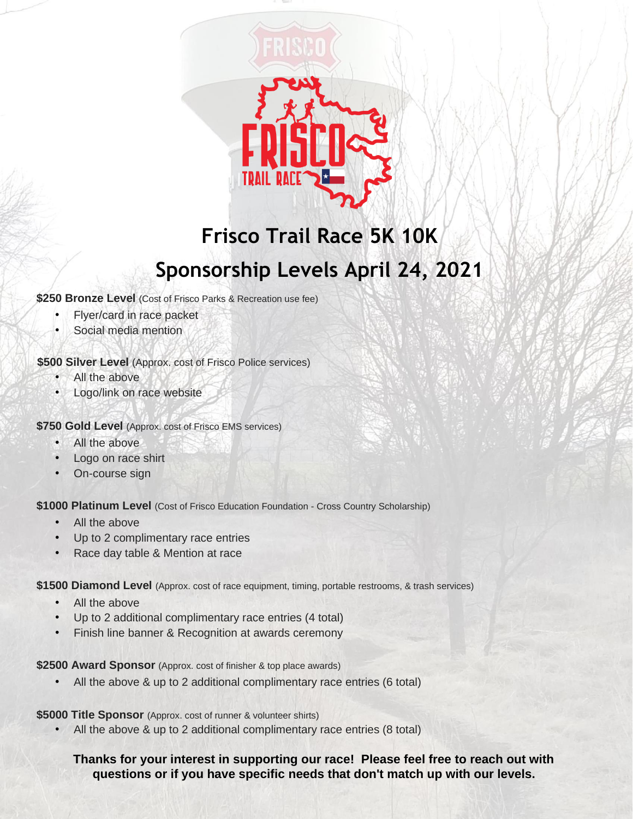

## **Frisco Trail Race 5K 10K Sponsorship Levels April 24, 2021**

**\$250 Bronze Level** (Cost of Frisco Parks & Recreation use fee)

- Flyer/card in race packet
- Social media mention

## **\$500 Silver Level** (Approx. cost of Frisco Police services)

- All the above
- Logo/link on race website

**\$750 Gold Level** (Approx. cost of Frisco EMS services)

- All the above
- Logo on race shirt
- On-course sign

\$1000 Platinum Level (Cost of Frisco Education Foundation - Cross Country Scholarship)

- All the above
- Up to 2 complimentary race entries
- Race day table & Mention at race

**\$1500 Diamond Level** (Approx. cost of race equipment, timing, portable restrooms, & trash services)

- All the above
- Up to 2 additional complimentary race entries (4 total)
- Finish line banner & Recognition at awards ceremony

**\$2500 Award Sponsor** (Approx. cost of finisher & top place awards)

• All the above & up to 2 additional complimentary race entries (6 total)

**\$5000 Title Sponsor** (Approx. cost of runner & volunteer shirts)

All the above & up to 2 additional complimentary race entries (8 total)

## **Thanks for your interest in supporting our race! Please feel free to reach out with questions or if you have specific needs that don't match up with our levels.**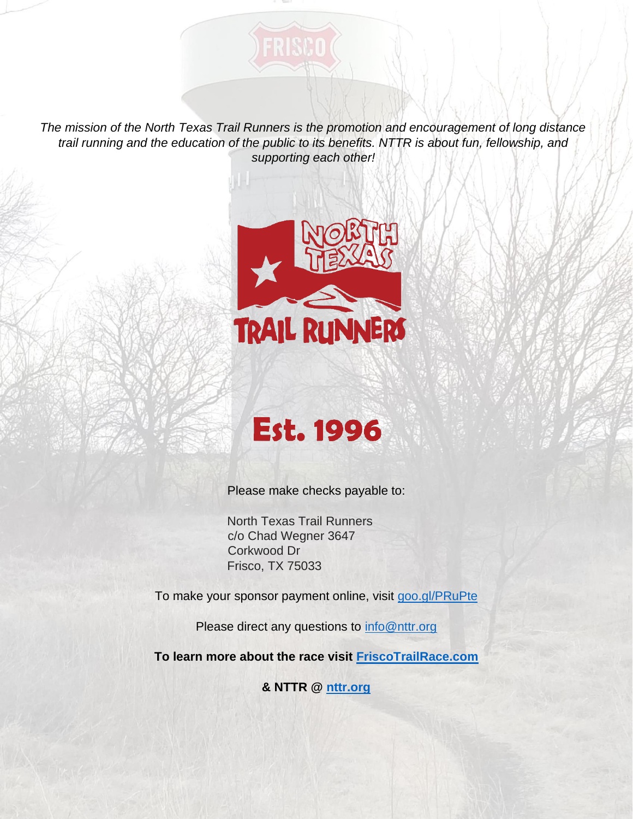*The mission of the North Texas Trail Runners is the promotion and encouragement of long distance trail running and the education of the public to its benefits. NTTR is about fun, fellowship, and supporting each other!* 

FRISCO





Please make checks payable to:

North Texas Trail Runners c/o Chad Wegner 3647 Corkwood Dr Frisco, TX 75033

To make your sponsor payment online, visit [goo.gl/PRuPte](https://goo.gl/PRuPte)

Please direct any questions to info@nttr.org

**To learn more about the race visit [FriscoTrailRace.com](http://friscotrailrace.com/)**

**& NTTR @ [nttr.org](https://nttr.org/)**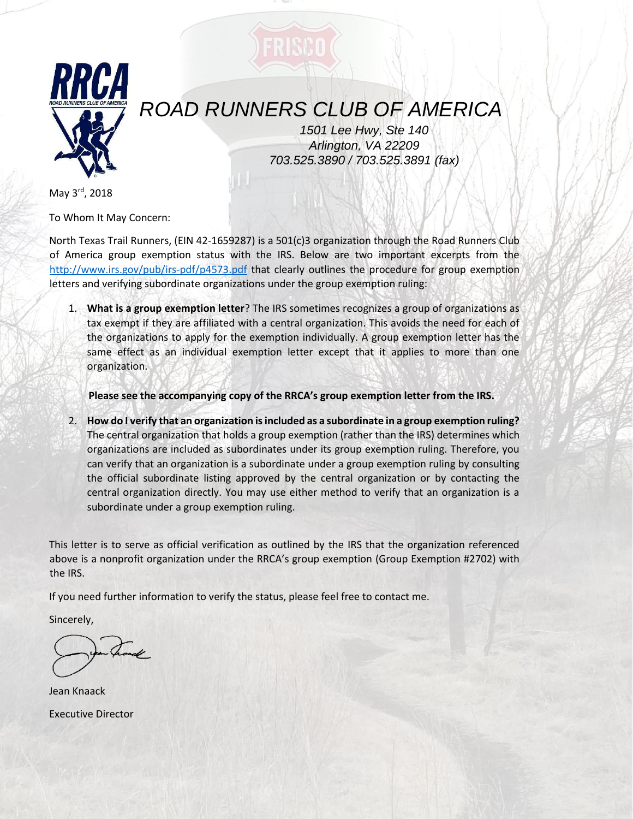

## *ROAD RUNNERS CLUB OF AMERICA*

*1501 Lee Hwy, Ste 140 Arlington, VA 22209 703.525.3890 / 703.525.3891 (fax)* 

May 3rd, 2018

To Whom It May Concern:

North Texas Trail Runners, (EIN 42-1659287) is a 501(c)3 organization through the Road Runners Club of America group exemption status with the IRS. Below are two important excerpts from the <http://www.irs.gov/pub/irs-pdf/p4573.pdf> that clearly outlines the procedure for group exemption letters and verifying subordinate organizations under the group exemption ruling:

1. **What is a group exemption letter**? The IRS sometimes recognizes a group of organizations as tax exempt if they are affiliated with a central organization. This avoids the need for each of the organizations to apply for the exemption individually. A group exemption letter has the same effect as an individual exemption letter except that it applies to more than one organization.

**Please see the accompanying copy of the RRCA's group exemption letter from the IRS.** 

2. **How do I verify that an organization is included as a subordinate in a group exemption ruling?** The central organization that holds a group exemption (rather than the IRS) determines which organizations are included as subordinates under its group exemption ruling. Therefore, you can verify that an organization is a subordinate under a group exemption ruling by consulting the official subordinate listing approved by the central organization or by contacting the central organization directly. You may use either method to verify that an organization is a subordinate under a group exemption ruling.

This letter is to serve as official verification as outlined by the IRS that the organization referenced above is a nonprofit organization under the RRCA's group exemption (Group Exemption #2702) with the IRS.

If you need further information to verify the status, please feel free to contact me.

Sincerely,

Jean Knaack Executive Director